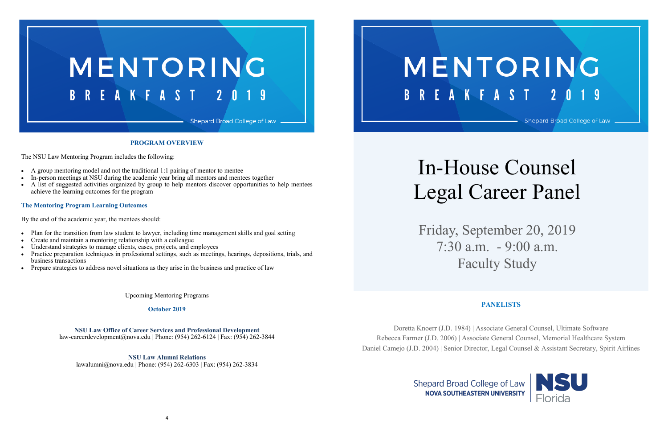# MENTORING Shepard Broad College of Law



#### **PROGRAM OVERVIEW**

The NSU Law Mentoring Program includes the following:

- A group mentoring model and not the traditional 1:1 pairing of mentor to mentee
- In-person meetings at NSU during the academic year bring all mentors and mentees together
- A list of suggested activities organized by group to help mentors discover opportunities to help mentees achieve the learning outcomes for the program

#### **The Mentoring Program Learning Outcomes**

By the end of the academic year, the mentees should:

- Plan for the transition from law student to lawyer, including time management skills and goal setting
- Create and maintain a mentoring relationship with a colleague
- Understand strategies to manage clients, cases, projects, and employees
- Practice preparation techniques in professional settings, such as meetings, hearings, depositions, trials, and business transactions
- Prepare strategies to address novel situations as they arise in the business and practice of law

Upcoming Mentoring Programs

**October 2019**

**NSU Law Office of Career Services and Professional Development** law-careerdevelopment@nova.edu | Phone: (954) 262-6124 | Fax: (954) 262-3844

**NSU Law Alumni Relations** lawalumni@nova.edu | Phone: (954) 262-6303 | Fax: (954) 262-3834 **BREAKFAST** 

# In-House Counsel Legal Career Panel

Friday, September 20, 2019 7:30 a.m. - 9:00 a.m. Faculty Study

#### **PANELISTS**



Doretta Knoerr (J.D. 1984) | Associate General Counsel, Ultimate Software Rebecca Farmer (J.D. 2006) | Associate General Counsel, Memorial Healthcare System Daniel Camejo (J.D. 2004) | Senior Director, Legal Counsel & Assistant Secretary, Spirit Airlines

> **Shepard Broad College of Law NOVA SOUTHEASTERN UNIVERSITY**